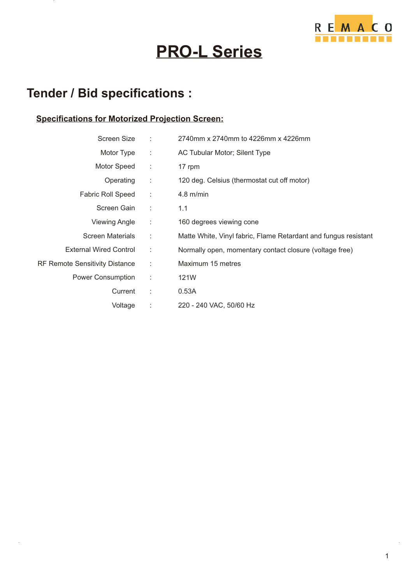

# **PRO-L Series**

### **Tender / Bid specifications :**

#### **Specifications for Motorized Projection Screen:**

| Screen Size                           | $\sim$ 1.      | 2740mm x 2740mm to 4226mm x 4226mm                              |
|---------------------------------------|----------------|-----------------------------------------------------------------|
| Motor Type                            | $\sim 10^{-1}$ | AC Tubular Motor; Silent Type                                   |
| Motor Speed                           | - 11           | 17 rpm                                                          |
| Operating                             | - 11           | 120 deg. Celsius (thermostat cut off motor)                     |
| <b>Fabric Roll Speed</b>              | $\sim 10$      | $4.8$ m/min                                                     |
| Screen Gain                           | $\sim 10$      | 1.1                                                             |
| <b>Viewing Angle</b>                  | ÷              | 160 degrees viewing cone                                        |
| <b>Screen Materials</b>               | $\sim$         | Matte White, Vinyl fabric, Flame Retardant and fungus resistant |
| <b>External Wired Control</b>         | $\mathbb{R}^n$ | Normally open, momentary contact closure (voltage free)         |
| <b>RF Remote Sensitivity Distance</b> | $\mathbb{R}^2$ | Maximum 15 metres                                               |
| Power Consumption                     | ÷              | 121W                                                            |
| Current                               | $\sim$ 10      | 0.53A                                                           |
| Voltage                               | ÷              | 220 - 240 VAC, 50/60 Hz                                         |
|                                       |                |                                                                 |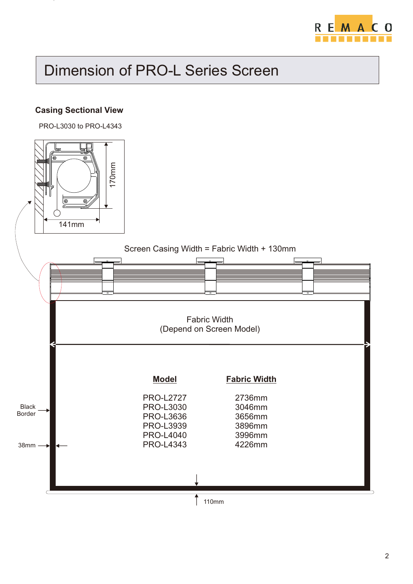

### Dimension of PRO-L Series Screen

#### **Casing Sectional View**

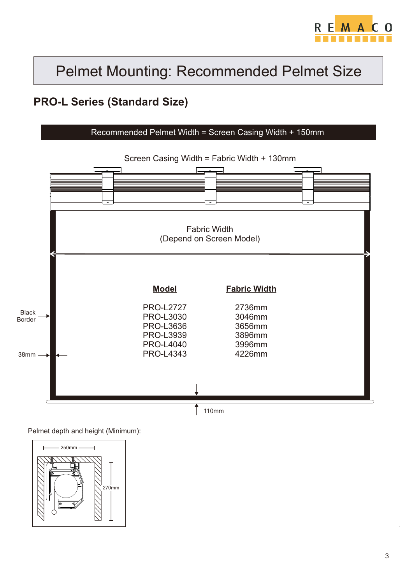

#### **PRO-L Series (Standard Size)**



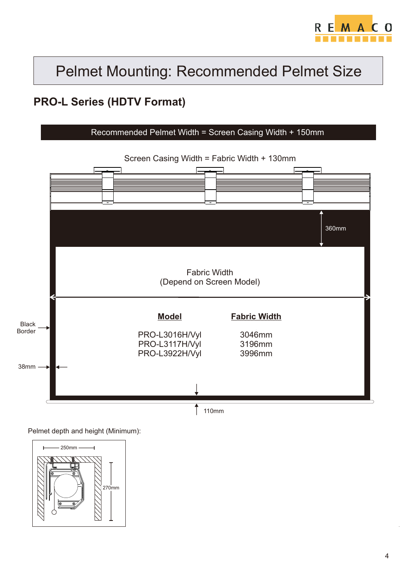

### **PRO-L Series (HDTV Format)**



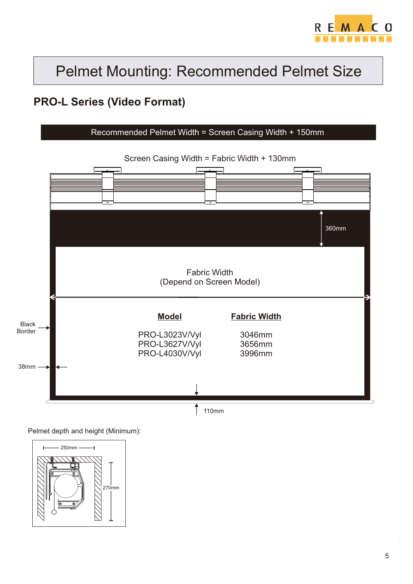

#### **PRO-L Series (Video Format)**